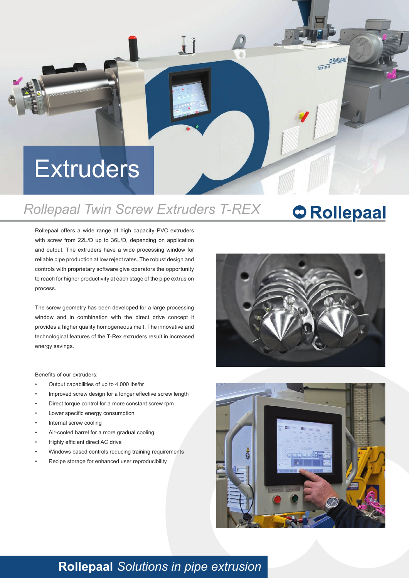# **Extruders**

#### *Rollepaal Twin Screw Extruders T-REX* **C** Rollepaal

 $\mathbf{r}$ 

#### Rollepaal offers a wide range of high capacity PVC extruders with screw from 22L/D up to 36L/D, depending on application and output. The extruders have a wide processing window for reliable pipe production at low reject rates. The robust design and controls with proprietary software give operators the opportunity to reach for higher productivity at each stage of the pipe extrusion process.

The screw geometry has been developed for a large processing window and in combination with the direct drive concept it provides a higher quality homogeneous melt. The innovative and technological features of the T-Rex extruders result in increased energy savings.

Benefits of our extruders:

- Output capabilities of up to 4.000 lbs/hr
- Improved screw design for a longer effective screw length
- Direct torque control for a more constant screw rpm
- Lower specific energy consumption
- Internal screw cooling
- Air-cooled barrel for a more gradual cooling
- Highly efficient direct AC drive
- Windows based controls reducing training requirements
- Recipe storage for enhanced user reproducibility



 $\frac{ORollepada}{TREX}$  125-33



### **Rollepaal** *Solutions in pipe extrusion*